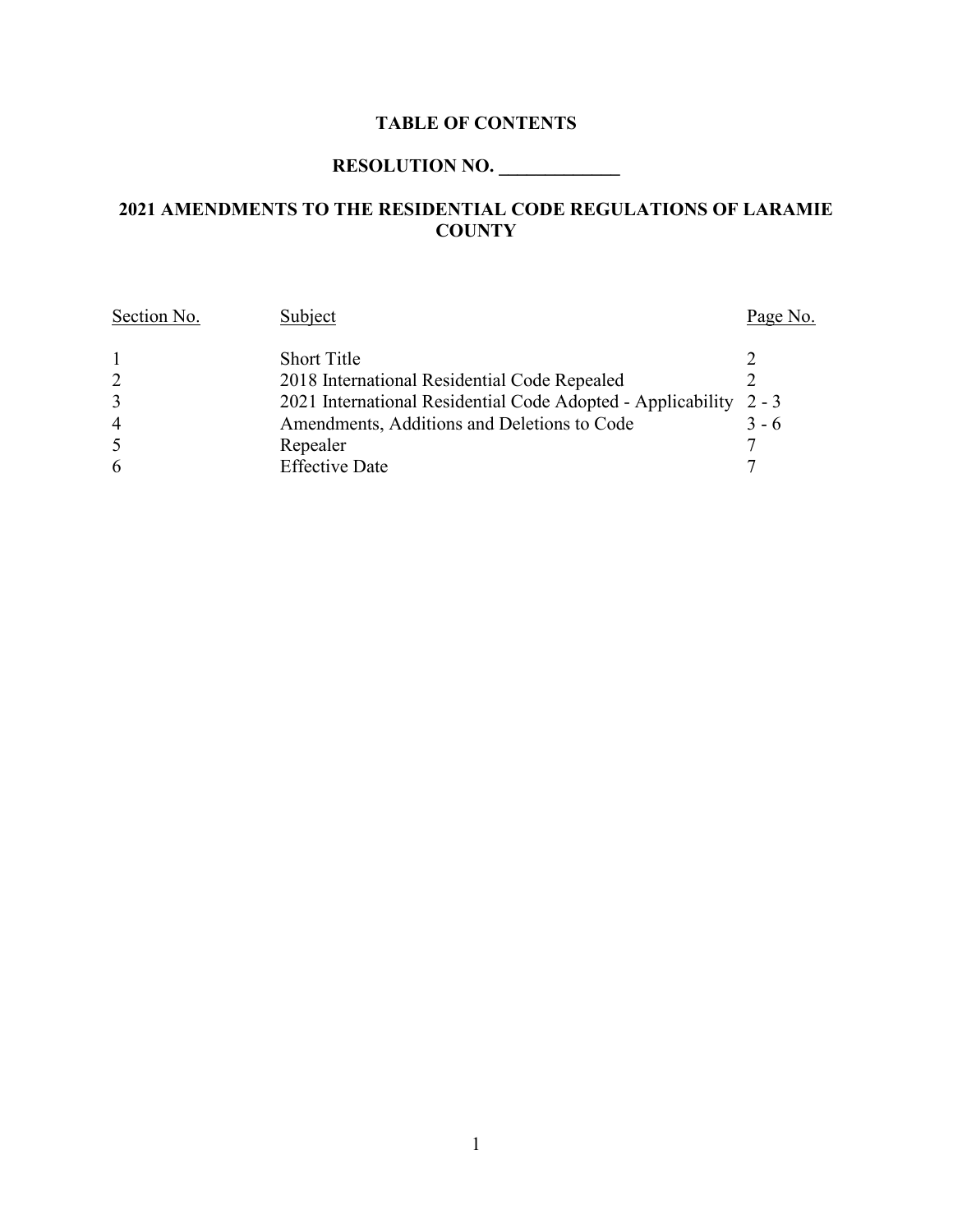# **TABLE OF CONTENTS**

# **RESOLUTION NO. \_\_\_\_\_\_\_\_\_\_\_\_\_**

# **2021 AMENDMENTS TO THE RESIDENTIAL CODE REGULATIONS OF LARAMIE COUNTY**

| Section No.    | Subject                                                     | Page No. |
|----------------|-------------------------------------------------------------|----------|
|                | <b>Short Title</b>                                          |          |
| 2              | 2018 International Residential Code Repealed                |          |
| 3              | 2021 International Residential Code Adopted - Applicability | $2 - 3$  |
| $\overline{4}$ | Amendments, Additions and Deletions to Code                 | $3 - 6$  |
| 5              | Repealer                                                    |          |
| 6              | <b>Effective Date</b>                                       |          |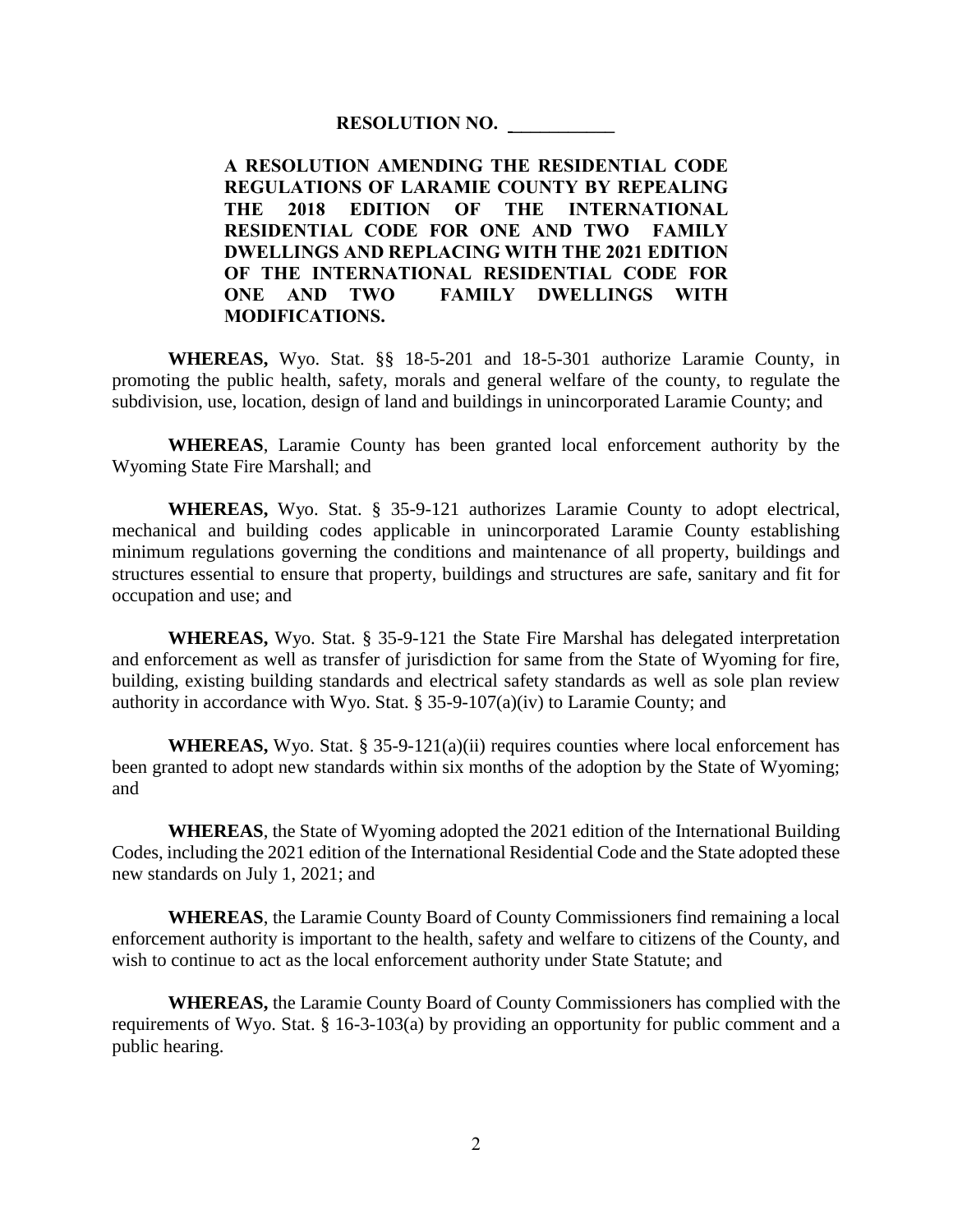#### **RESOLUTION NO. \_\_\_\_\_\_\_\_\_\_\_**

**A RESOLUTION AMENDING THE RESIDENTIAL CODE REGULATIONS OF LARAMIE COUNTY BY REPEALING THE 2018 EDITION OF THE INTERNATIONAL RESIDENTIAL CODE FOR ONE AND TWO FAMILY DWELLINGS AND REPLACING WITH THE 2021 EDITION OF THE INTERNATIONAL RESIDENTIAL CODE FOR ONE AND TWO FAMILY DWELLINGS WITH MODIFICATIONS.**

**WHEREAS,** Wyo. Stat. §§ 18-5-201 and 18-5-301 authorize Laramie County, in promoting the public health, safety, morals and general welfare of the county, to regulate the subdivision, use, location, design of land and buildings in unincorporated Laramie County; and

**WHEREAS**, Laramie County has been granted local enforcement authority by the Wyoming State Fire Marshall; and

**WHEREAS,** Wyo. Stat. § 35-9-121 authorizes Laramie County to adopt electrical, mechanical and building codes applicable in unincorporated Laramie County establishing minimum regulations governing the conditions and maintenance of all property, buildings and structures essential to ensure that property, buildings and structures are safe, sanitary and fit for occupation and use; and

**WHEREAS,** Wyo. Stat. § 35-9-121 the State Fire Marshal has delegated interpretation and enforcement as well as transfer of jurisdiction for same from the State of Wyoming for fire, building, existing building standards and electrical safety standards as well as sole plan review authority in accordance with Wyo. Stat. § 35-9-107(a)(iv) to Laramie County; and

**WHEREAS,** Wyo. Stat.  $\S 35-9-121(a)(ii)$  requires counties where local enforcement has been granted to adopt new standards within six months of the adoption by the State of Wyoming; and

**WHEREAS**, the State of Wyoming adopted the 2021 edition of the International Building Codes, including the 2021 edition of the International Residential Code and the State adopted these new standards on July 1, 2021; and

**WHEREAS**, the Laramie County Board of County Commissioners find remaining a local enforcement authority is important to the health, safety and welfare to citizens of the County, and wish to continue to act as the local enforcement authority under State Statute; and

**WHEREAS,** the Laramie County Board of County Commissioners has complied with the requirements of Wyo. Stat. § 16-3-103(a) by providing an opportunity for public comment and a public hearing.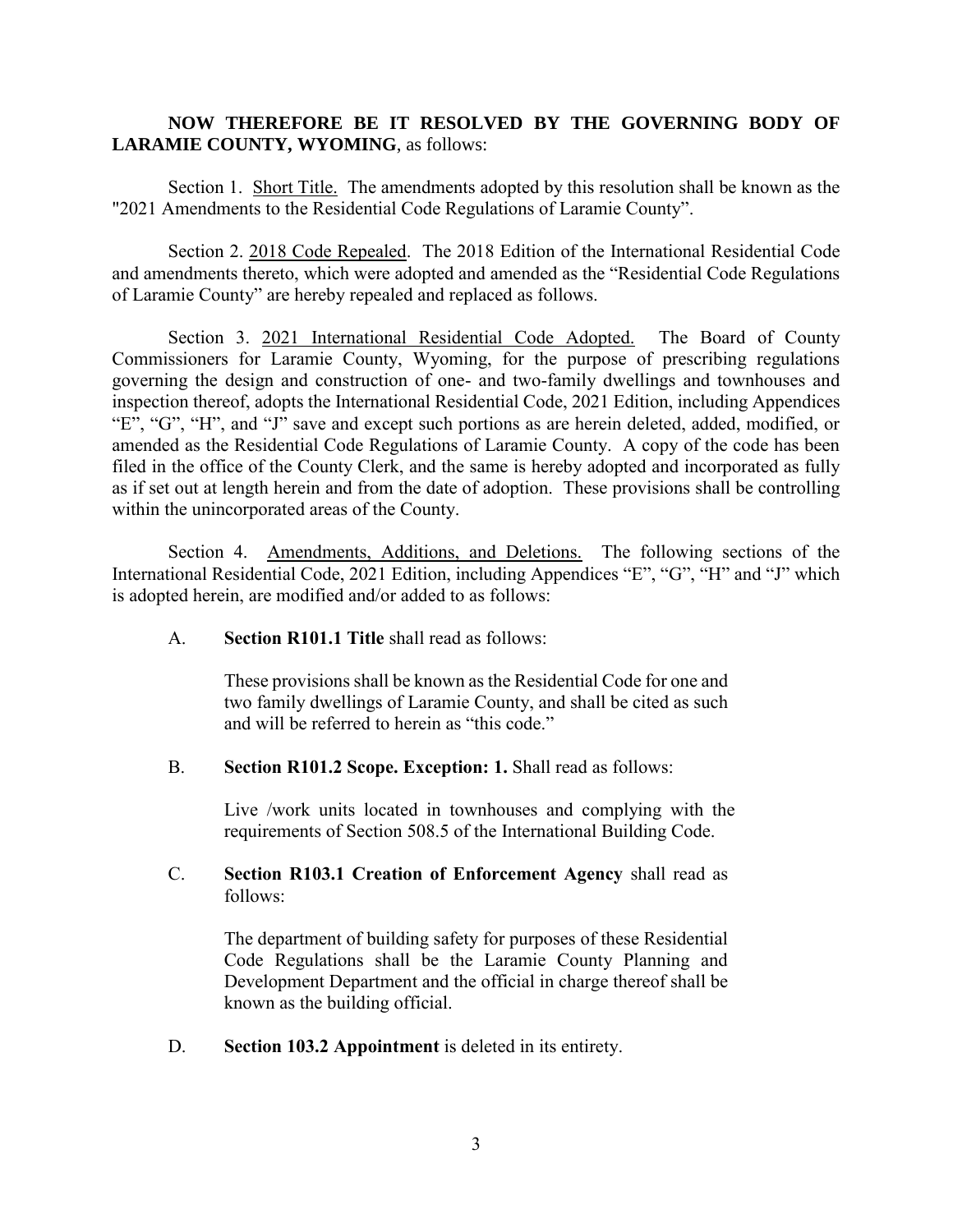#### **NOW THEREFORE BE IT RESOLVED BY THE GOVERNING BODY OF LARAMIE COUNTY, WYOMING**, as follows:

Section 1. Short Title. The amendments adopted by this resolution shall be known as the "2021 Amendments to the Residential Code Regulations of Laramie County".

Section 2. 2018 Code Repealed. The 2018 Edition of the International Residential Code and amendments thereto, which were adopted and amended as the "Residential Code Regulations of Laramie County" are hereby repealed and replaced as follows.

Section 3. 2021 International Residential Code Adopted. The Board of County Commissioners for Laramie County, Wyoming, for the purpose of prescribing regulations governing the design and construction of one- and two-family dwellings and townhouses and inspection thereof, adopts the International Residential Code, 2021 Edition, including Appendices "E", "G", "H", and "J" save and except such portions as are herein deleted, added, modified, or amended as the Residential Code Regulations of Laramie County. A copy of the code has been filed in the office of the County Clerk, and the same is hereby adopted and incorporated as fully as if set out at length herein and from the date of adoption. These provisions shall be controlling within the unincorporated areas of the County.

Section 4. Amendments, Additions, and Deletions. The following sections of the International Residential Code, 2021 Edition, including Appendices "E", "G", "H" and "J" which is adopted herein, are modified and/or added to as follows:

A. **Section R101.1 Title** shall read as follows:

These provisions shall be known as the Residential Code for one and two family dwellings of Laramie County, and shall be cited as such and will be referred to herein as "this code."

B. **Section R101.2 Scope. Exception: 1.** Shall read as follows:

Live /work units located in townhouses and complying with the requirements of Section 508.5 of the International Building Code.

#### C. **Section R103.1 Creation of Enforcement Agency** shall read as follows:

The department of building safety for purposes of these Residential Code Regulations shall be the Laramie County Planning and Development Department and the official in charge thereof shall be known as the building official.

D. **Section 103.2 Appointment** is deleted in its entirety.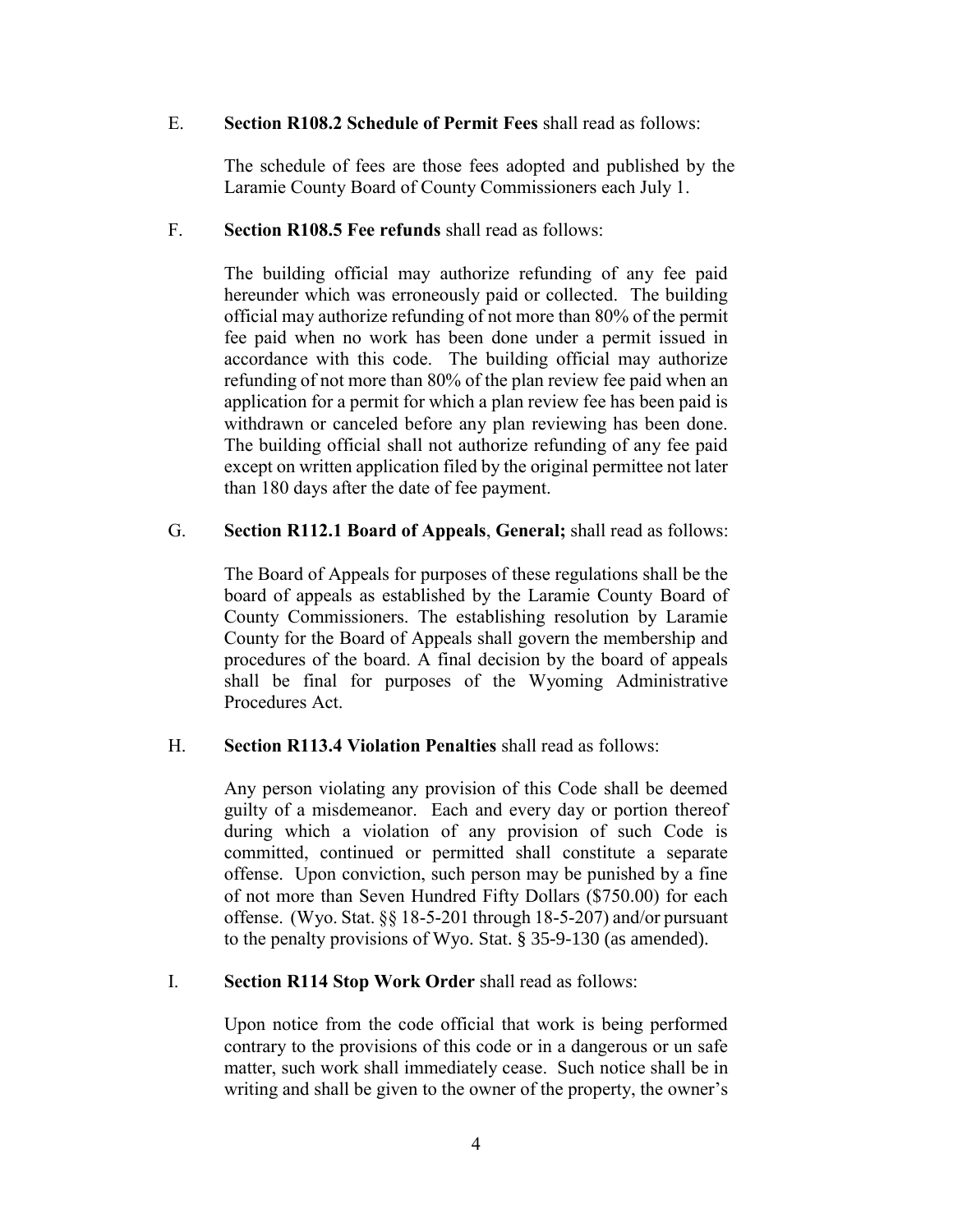#### E. **Section R108.2 Schedule of Permit Fees** shall read as follows:

The schedule of fees are those fees adopted and published by the Laramie County Board of County Commissioners each July 1.

#### F. **Section R108.5 Fee refunds** shall read as follows:

The building official may authorize refunding of any fee paid hereunder which was erroneously paid or collected. The building official may authorize refunding of not more than 80% of the permit fee paid when no work has been done under a permit issued in accordance with this code. The building official may authorize refunding of not more than 80% of the plan review fee paid when an application for a permit for which a plan review fee has been paid is withdrawn or canceled before any plan reviewing has been done. The building official shall not authorize refunding of any fee paid except on written application filed by the original permittee not later than 180 days after the date of fee payment.

#### G. **Section R112.1 Board of Appeals**, **General;** shall read as follows:

The Board of Appeals for purposes of these regulations shall be the board of appeals as established by the Laramie County Board of County Commissioners. The establishing resolution by Laramie County for the Board of Appeals shall govern the membership and procedures of the board. A final decision by the board of appeals shall be final for purposes of the Wyoming Administrative Procedures Act.

### H. **Section R113.4 Violation Penalties** shall read as follows:

Any person violating any provision of this Code shall be deemed guilty of a misdemeanor. Each and every day or portion thereof during which a violation of any provision of such Code is committed, continued or permitted shall constitute a separate offense. Upon conviction, such person may be punished by a fine of not more than Seven Hundred Fifty Dollars (\$750.00) for each offense. (Wyo. Stat. §§ 18-5-201 through 18-5-207) and/or pursuant to the penalty provisions of Wyo. Stat. § 35-9-130 (as amended).

#### I. **Section R114 Stop Work Order** shall read as follows:

Upon notice from the code official that work is being performed contrary to the provisions of this code or in a dangerous or un safe matter, such work shall immediately cease. Such notice shall be in writing and shall be given to the owner of the property, the owner's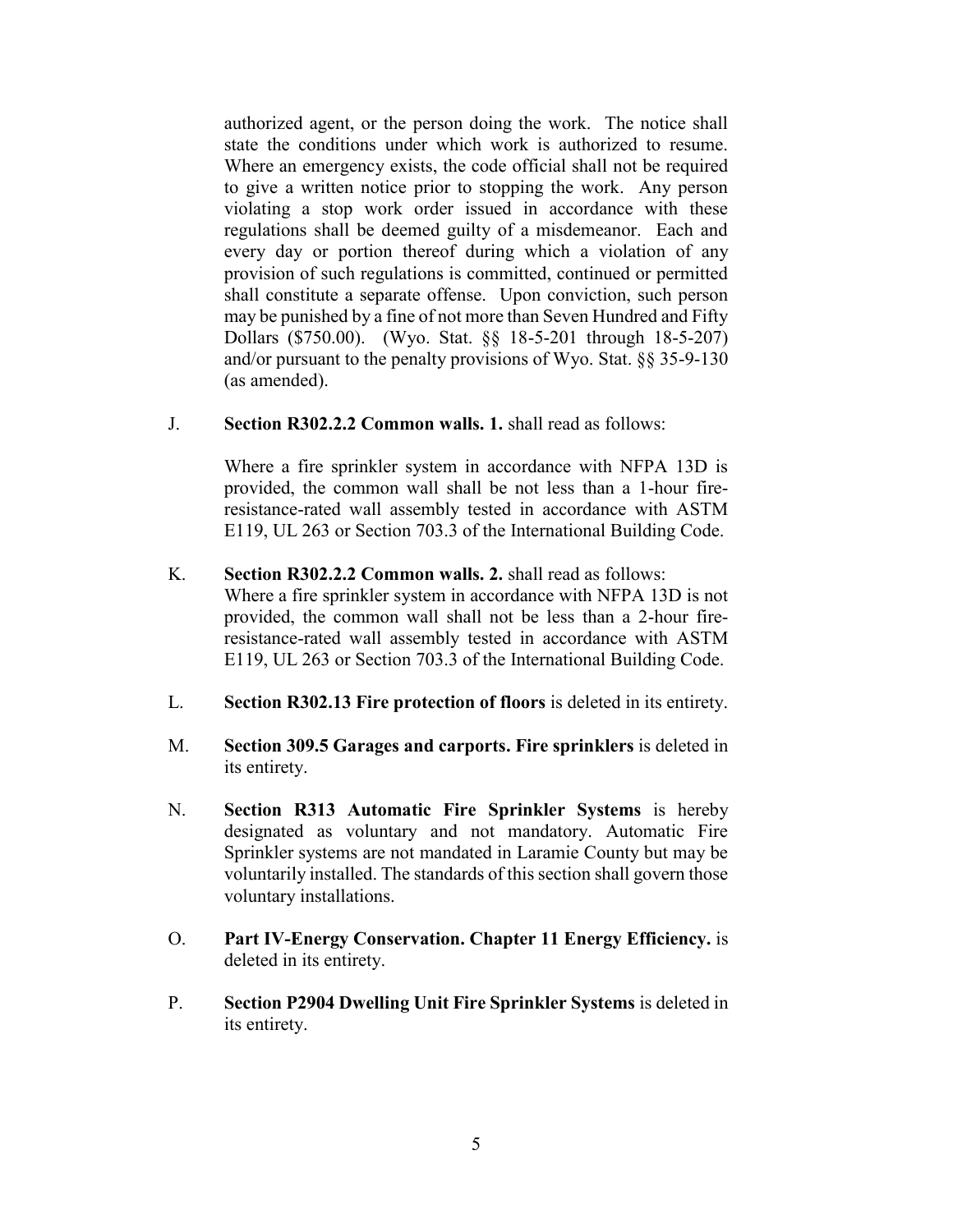authorized agent, or the person doing the work. The notice shall state the conditions under which work is authorized to resume. Where an emergency exists, the code official shall not be required to give a written notice prior to stopping the work. Any person violating a stop work order issued in accordance with these regulations shall be deemed guilty of a misdemeanor. Each and every day or portion thereof during which a violation of any provision of such regulations is committed, continued or permitted shall constitute a separate offense. Upon conviction, such person may be punished by a fine of not more than Seven Hundred and Fifty Dollars (\$750.00). (Wyo. Stat. §§ 18-5-201 through 18-5-207) and/or pursuant to the penalty provisions of Wyo. Stat. §§ 35-9-130 (as amended).

J. **Section R302.2.2 Common walls. 1.** shall read as follows:

Where a fire sprinkler system in accordance with NFPA 13D is provided, the common wall shall be not less than a 1-hour fireresistance-rated wall assembly tested in accordance with ASTM E119, UL 263 or Section 703.3 of the International Building Code.

- K. **Section R302.2.2 Common walls. 2.** shall read as follows: Where a fire sprinkler system in accordance with NFPA 13D is not provided, the common wall shall not be less than a 2-hour fireresistance-rated wall assembly tested in accordance with ASTM E119, UL 263 or Section 703.3 of the International Building Code.
- L. **Section R302.13 Fire protection of floors** is deleted in its entirety.
- M. **Section 309.5 Garages and carports. Fire sprinklers** is deleted in its entirety.
- N. **Section R313 Automatic Fire Sprinkler Systems** is hereby designated as voluntary and not mandatory. Automatic Fire Sprinkler systems are not mandated in Laramie County but may be voluntarily installed. The standards of this section shall govern those voluntary installations.
- O. **Part IV-Energy Conservation. Chapter 11 Energy Efficiency.** is deleted in its entirety.
- P. **Section P2904 Dwelling Unit Fire Sprinkler Systems** is deleted in its entirety.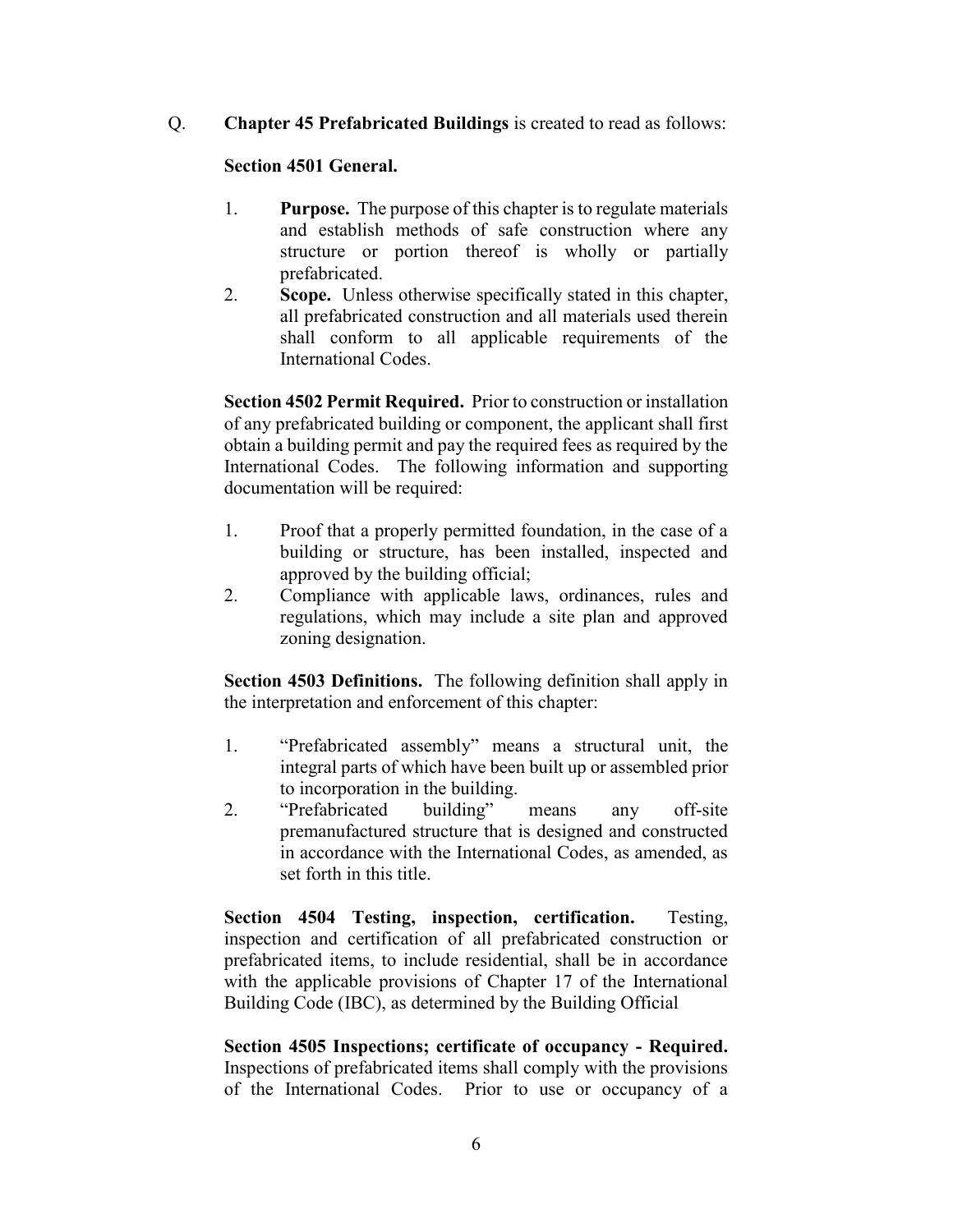Q. **Chapter 45 Prefabricated Buildings** is created to read as follows:

### **Section 4501 General.**

- 1. **Purpose.** The purpose of this chapter is to regulate materials and establish methods of safe construction where any structure or portion thereof is wholly or partially prefabricated.
- 2. **Scope.** Unless otherwise specifically stated in this chapter, all prefabricated construction and all materials used therein shall conform to all applicable requirements of the International Codes.

**Section 4502 Permit Required.** Prior to construction or installation of any prefabricated building or component, the applicant shall first obtain a building permit and pay the required fees as required by the International Codes. The following information and supporting documentation will be required:

- 1. Proof that a properly permitted foundation, in the case of a building or structure, has been installed, inspected and approved by the building official;
- 2. Compliance with applicable laws, ordinances, rules and regulations, which may include a site plan and approved zoning designation.

**Section 4503 Definitions.** The following definition shall apply in the interpretation and enforcement of this chapter:

- 1. "Prefabricated assembly" means a structural unit, the integral parts of which have been built up or assembled prior to incorporation in the building.
- 2. "Prefabricated building" means any off-site premanufactured structure that is designed and constructed in accordance with the International Codes, as amended, as set forth in this title.

**Section 4504 Testing, inspection, certification.** Testing, inspection and certification of all prefabricated construction or prefabricated items, to include residential, shall be in accordance with the applicable provisions of Chapter 17 of the International Building Code (IBC), as determined by the Building Official

**Section 4505 Inspections; certificate of occupancy - Required.** Inspections of prefabricated items shall comply with the provisions of the International Codes. Prior to use or occupancy of a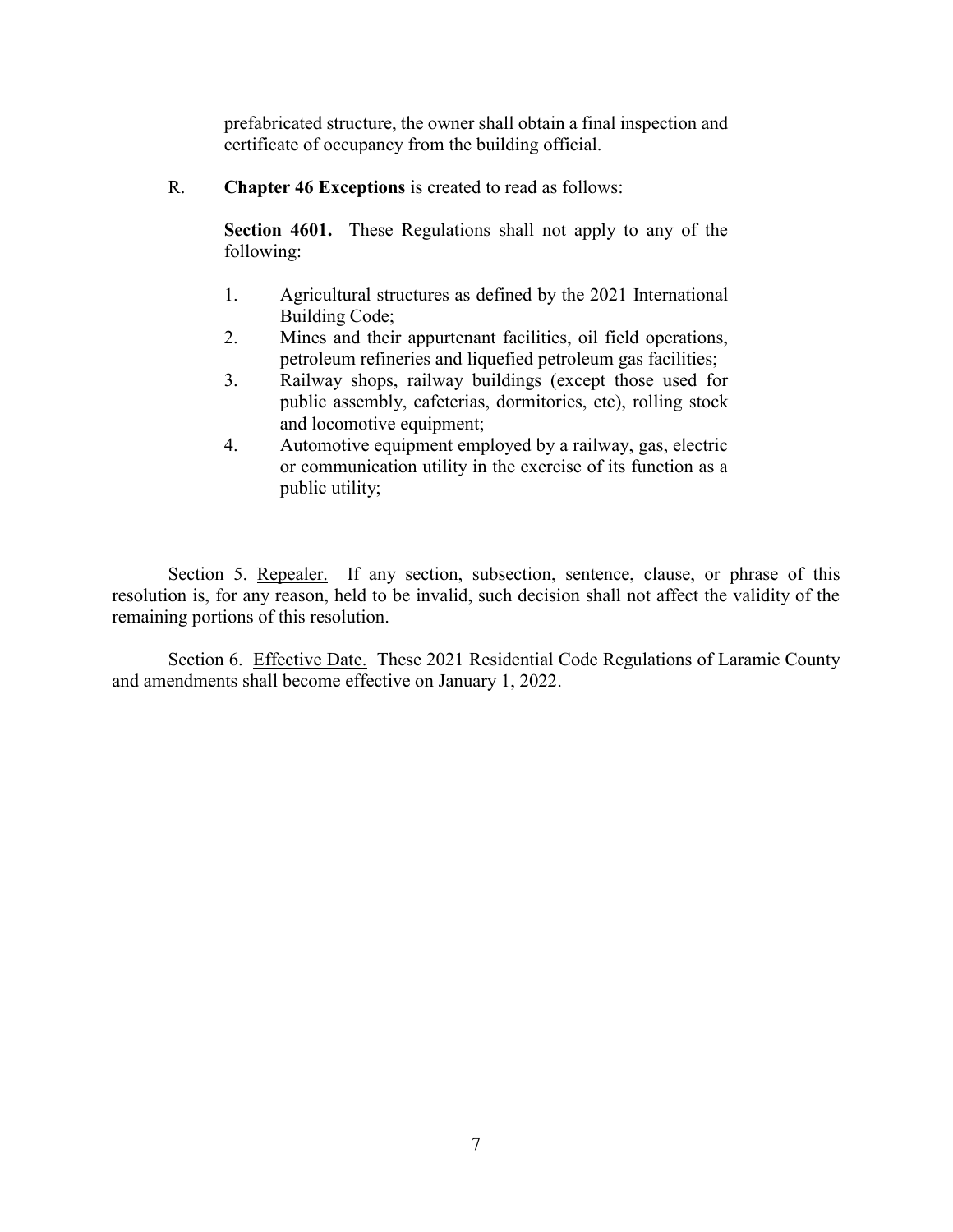prefabricated structure, the owner shall obtain a final inspection and certificate of occupancy from the building official.

R. **Chapter 46 Exceptions** is created to read as follows:

**Section 4601.** These Regulations shall not apply to any of the following:

- 1. Agricultural structures as defined by the 2021 International Building Code;
- 2. Mines and their appurtenant facilities, oil field operations, petroleum refineries and liquefied petroleum gas facilities;
- 3. Railway shops, railway buildings (except those used for public assembly, cafeterias, dormitories, etc), rolling stock and locomotive equipment;
- 4. Automotive equipment employed by a railway, gas, electric or communication utility in the exercise of its function as a public utility;

Section 5. Repealer. If any section, subsection, sentence, clause, or phrase of this resolution is, for any reason, held to be invalid, such decision shall not affect the validity of the remaining portions of this resolution.

Section 6. Effective Date. These 2021 Residential Code Regulations of Laramie County and amendments shall become effective on January 1, 2022.